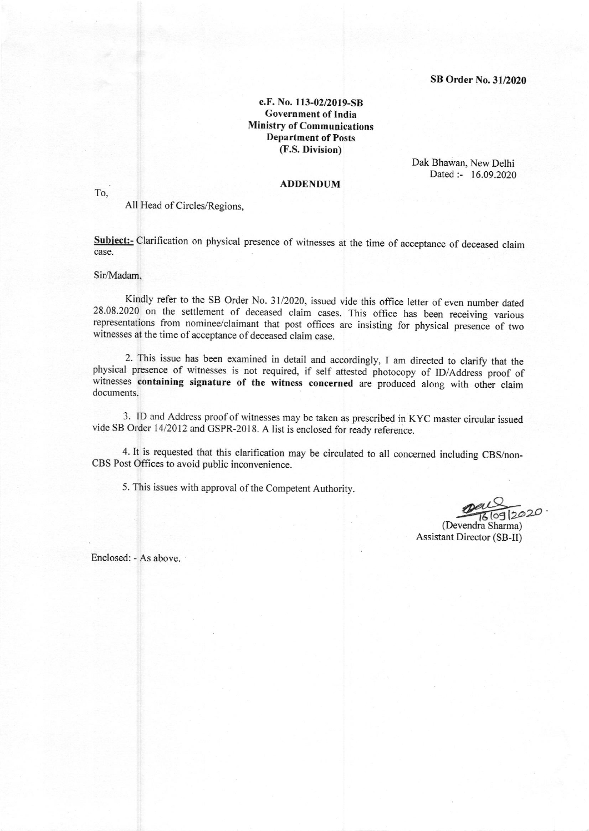e.F. No. 113-02/2019-SB Government of India Ministry of Communications Department of Posts (F.S. Division)

> Dak Bhawan, New Delhi Dated :- 16.09.2020

## ADDENDUM

To,

All Head of Circles/Regions,

Subject:- Clarification on physical presence of witnesses at the time of acceptance of deceased claim case.

## Sir/Madam,

Kindly refer to the SB Order No. 31/2020, issued vide this office letter of even number dated 28.08.2020 on the settlement of deceased claim cases. This office has been receiving various representations from nominee/claimant that post offices are insisting for physical presence of two witnesses at the time of acceptance of deceased claim case.

2. This issue has been examined in detail and accordingly, I am directed to clariry that the physical presence of witnesses is not required, if self attested photocopy of lD/Address proof of witnesses containing signature of the witness concerned are produced along with other claim documents.

3. ID and Address proof of witnesses may be taken as prescribed in KYC master circular issued vide SB Order 14/2012 and GSPR-2018. A list is enclosed for ready reference.

4. It is requested that this clarification may be circulated to all concerned including CBS/non-CBS Post Offices to avoid public inconvenience.

5. This issues with approval of the Competent Authority.

 $\underbrace{\mathcal{P}a\mathcal{L}}_{(69|2020)}$ 

Assistant Director (SB-II)

Enclosed: - As above.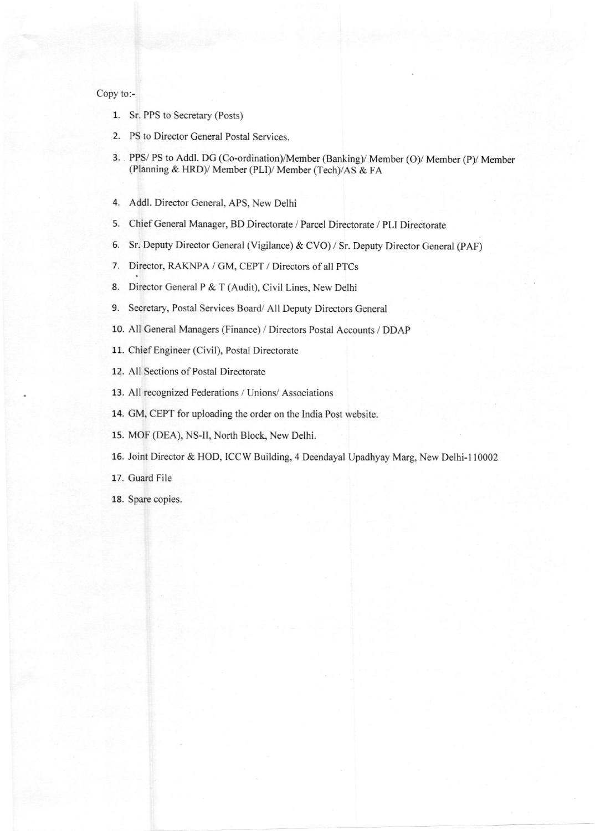## Copy to:-

- 1. Sr. PPS to Secretary (Posts)
- 2. PS to Director General Postal Services.
- 3. PPS/ PS to Addl. DG (Co-ordination)/Member (Banking)/ Member (O)/ Member (P)/ Member (Planning & HRD)/ Member (PLI)/ Member (Tech)/AS & FA
- 4. Addl. Director General, APS, New Delhi
- 5. Chief General Manager, BD Directorate / Parcel Directorate / PLI Directorate
- 6. Sr. Deputy Director General (Vigilance) & CVO) / Sr. Deputy Director General (PAF)
- 7. Director, RAKNPA / GM, CEPT / Directors of all PTCs
- 8. Director General P & T (Audit), Civil Lines, New Delhi
- 9. Secretary, Postal Services Board/ All Deputy Directors General
- 10. All General Managers (Finance) / Directors Postal Accounts / DDAP
- 11. Chief Engineer (Civil), Postal Directorate
- 12. All Sections of Postal Directorate
- 13. All recognized Federations / Unions/ Associations
- 14. GM, CEPT for uploading the order on the India Post website.
- 15. MOF (DEA), NS-II, North Block, New Delhi.
- 15. Joint Director & HOD, ICCW Building,4 Deendayal Upadhyay Marg, New Delhi-l 10002
- 17. Guard File
- 18. Spare copies.